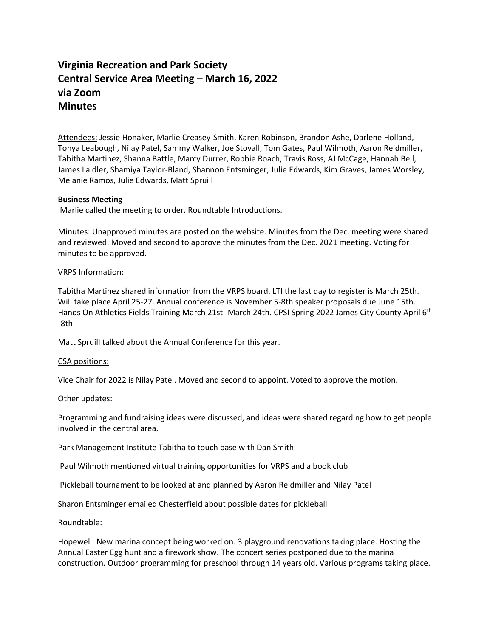# **Virginia Recreation and Park Society Central Service Area Meeting – March 16, 2022 via Zoom Minutes**

Attendees: Jessie Honaker, Marlie Creasey-Smith, Karen Robinson, Brandon Ashe, Darlene Holland, Tonya Leabough, Nilay Patel, Sammy Walker, Joe Stovall, Tom Gates, Paul Wilmoth, Aaron Reidmiller, Tabitha Martinez, Shanna Battle, Marcy Durrer, Robbie Roach, Travis Ross, AJ McCage, Hannah Bell, James Laidler, Shamiya Taylor-Bland, Shannon Entsminger, Julie Edwards, Kim Graves, James Worsley, Melanie Ramos, Julie Edwards, Matt Spruill

# **Business Meeting**

Marlie called the meeting to order. Roundtable Introductions.

Minutes: Unapproved minutes are posted on the website. Minutes from the Dec. meeting were shared and reviewed. Moved and second to approve the minutes from the Dec. 2021 meeting. Voting for minutes to be approved.

# VRPS Information:

Tabitha Martinez shared information from the VRPS board. LTI the last day to register is March 25th. Will take place April 25-27. Annual conference is November 5-8th speaker proposals due June 15th. Hands On Athletics Fields Training March 21st -March 24th. CPSI Spring 2022 James City County April 6<sup>th</sup> -8th

Matt Spruill talked about the Annual Conference for this year.

### CSA positions:

Vice Chair for 2022 is Nilay Patel. Moved and second to appoint. Voted to approve the motion.

### Other updates:

Programming and fundraising ideas were discussed, and ideas were shared regarding how to get people involved in the central area.

Park Management Institute Tabitha to touch base with Dan Smith

Paul Wilmoth mentioned virtual training opportunities for VRPS and a book club

Pickleball tournament to be looked at and planned by Aaron Reidmiller and Nilay Patel

Sharon Entsminger emailed Chesterfield about possible dates for pickleball

Roundtable:

Hopewell: New marina concept being worked on. 3 playground renovations taking place. Hosting the Annual Easter Egg hunt and a firework show. The concert series postponed due to the marina construction. Outdoor programming for preschool through 14 years old. Various programs taking place.